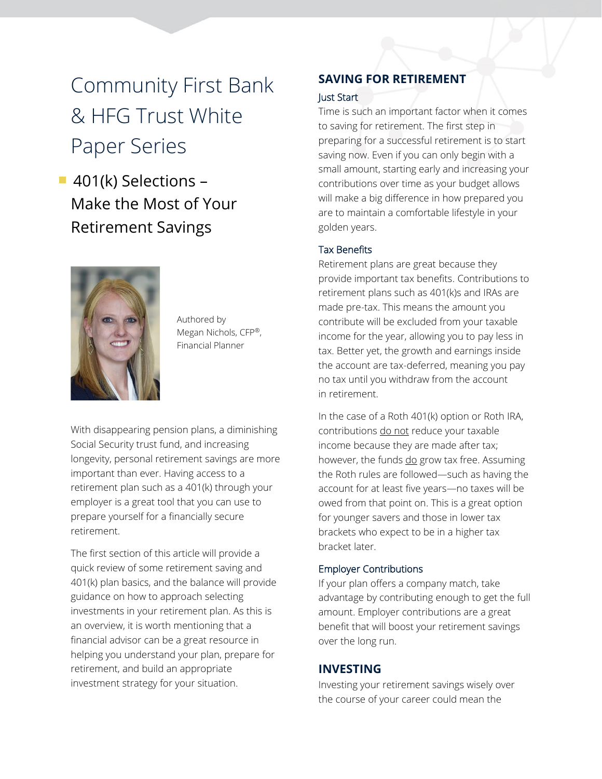# Community First Bank & HFG Trust White Paper Series

■ 401(k) Selections – Make the Most of Your Retirement Savings



Authored by Megan Nichols, CFP®, Financial Planner

With disappearing pension plans, a diminishing Social Security trust fund, and increasing longevity, personal retirement savings are more important than ever. Having access to a retirement plan such as a 401(k) through your employer is a great tool that you can use to prepare yourself for a financially secure retirement.

The first section of this article will provide a quick review of some retirement saving and 401(k) plan basics, and the balance will provide guidance on how to approach selecting investments in your retirement plan. As this is an overview, it is worth mentioning that a financial advisor can be a great resource in helping you understand your plan, prepare for retirement, and build an appropriate investment strategy for your situation.

### **SAVING FOR RETIREMENT**

### Just Start

Time is such an important factor when it comes to saving for retirement. The first step in preparing for a successful retirement is to start saving now. Even if you can only begin with a small amount, starting early and increasing your contributions over time as your budget allows will make a big difference in how prepared you are to maintain a comfortable lifestyle in your golden years.

### Tax Benefits

Retirement plans are great because they provide important tax benefits. Contributions to retirement plans such as 401(k)s and IRAs are made pre-tax. This means the amount you contribute will be excluded from your taxable income for the year, allowing you to pay less in tax. Better yet, the growth and earnings inside the account are tax-deferred, meaning you pay no tax until you withdraw from the account in retirement.

In the case of a Roth 401(k) option or Roth IRA, contributions do not reduce your taxable income because they are made after tax; however, the funds do grow tax free. Assuming the Roth rules are followed—such as having the account for at least five years—no taxes will be owed from that point on. This is a great option for younger savers and those in lower tax brackets who expect to be in a higher tax bracket later.

### Employer Contributions

If your plan offers a company match, take advantage by contributing enough to get the full amount. Employer contributions are a great benefit that will boost your retirement savings over the long run.

### **INVESTING**

Investing your retirement savings wisely over the course of your career could mean the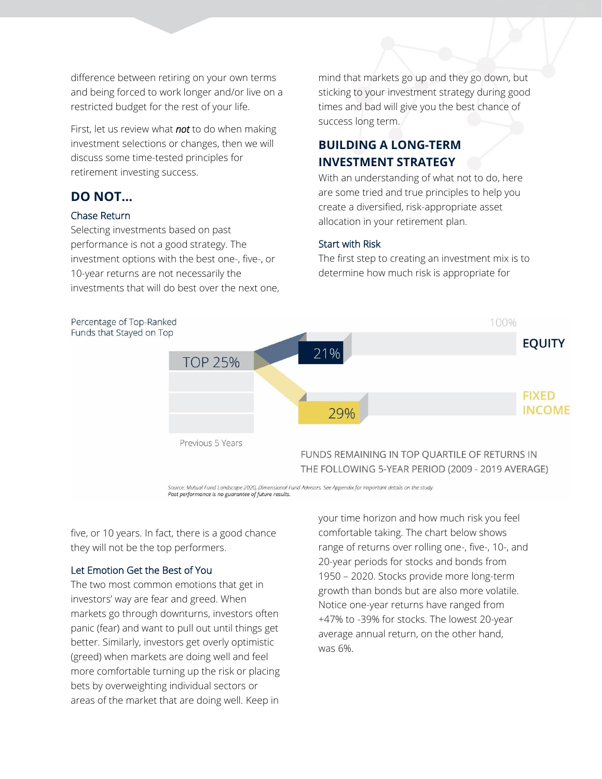difference between retiring on your own terms and being forced to work longer and/or live on a restricted budget for the rest of your life.

First, let us review what *not* to do when making investment selections or changes, then we will discuss some time-tested principles for retirement investing success.

### **DO NOT…**

### Chase Return

Selecting investments based on past performance is not a good strategy. The investment options with the best one-, five-, or 10-year returns are not necessarily the investments that will do best over the next one,

mind that markets go up and they go down, but sticking to your investment strategy during good times and bad will give you the best chance of success long term.

## **BUILDING A LONG-TERM INVESTMENT STRATEGY**

With an understanding of what not to do, here are some tried and true principles to help you create a diversified, risk-appropriate asset allocation in your retirement plan.

### Start with Risk

The first step to creating an investment mix is to determine how much risk is appropriate for



ource: Mutual Fund Landscape 2020, Dimensional Fund Advisors. See Appendix for important details on the study. Past performance is no guarantee of future results.

five, or 10 years. In fact, there is a good chance they will not be the top performers.

### Let Emotion Get the Best of You

The two most common emotions that get in investors' way are fear and greed. When markets go through downturns, investors often panic (fear) and want to pull out until things get better. Similarly, investors get overly optimistic (greed) when markets are doing well and feel more comfortable turning up the risk or placing bets by overweighting individual sectors or areas of the market that are doing well. Keep in

your time horizon and how much risk you feel comfortable taking. The chart below shows range of returns over rolling one-, five-, 10-, and 20-year periods for stocks and bonds from 1950 – 2020. Stocks provide more long-term growth than bonds but are also more volatile. Notice one-year returns have ranged from +47% to -39% for stocks. The lowest 20-year average annual return, on the other hand, was 6%.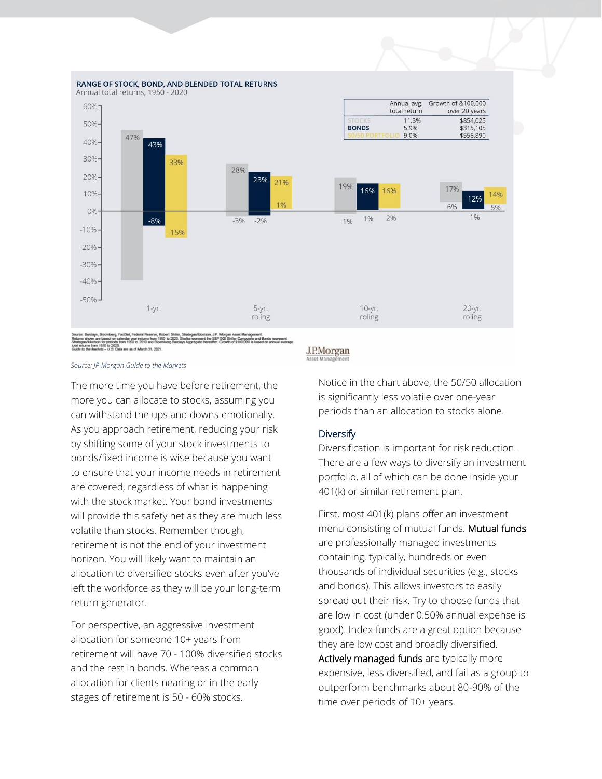

Source: Centrerys, cecomeresy, restses, research Politics (2011)<br>Stridense allows are based on calendar year returns from 19<br>Stridense/Mootion for periods from 1950 to 2010 and Bloo<br>Guide its the Markets – U.S. Data are as FactSet, rederal Reserve, Robert Shiler, Strategas/Ibl<br>alendar year returns from 1950 to 2020. Stocks repres<br>from 1950 to 2010 and Bloomberg Barclays Aggregate ent the S&P 500 Shiller Composite and Bo<br>thereafter, Growth of \$100,000 is based

*Source: JP [Morgan Guide to the Markets](https://am.jpmorgan.com/us/en/asset-management/adv/insights/market-insights/guide-to-the-markets/?c3apidt=p40886527605&gclid=CjwKCAjwj6SEBhAOEiwAvFRuKAtSNqy1rMjboZGvMx7_PPPFNSMdJhKimpk-UNKHmnrMYa6JU_w3YhoCT9kQAvD_BwE&gclsrc=aw.ds)*

The more time you have before retirement, the more you can allocate to stocks, assuming you can withstand the ups and downs emotionally. As you approach retirement, reducing your risk by shifting some of your stock investments to bonds/fixed income is wise because you want to ensure that your income needs in retirement are covered, regardless of what is happening with the stock market. Your bond investments will provide this safety net as they are much less volatile than stocks. Remember though, retirement is not the end of your investment horizon. You will likely want to maintain an allocation to diversified stocks even after you've left the workforce as they will be your long-term return generator.

For perspective, an aggressive investment allocation for someone 10+ years from retirement will have 70 - 100% diversified stocks and the rest in bonds. Whereas a common allocation for clients nearing or in the early stages of retirement is 50 - 60% stocks.

#### **J.P.Morgan** Asset Mana

Notice in the chart above, the 50/50 allocation is significantly less volatile over one-year

periods than an allocation to stocks alone.

### **Diversify**

Diversification is important for risk reduction. There are a few ways to diversify an investment portfolio, all of which can be done inside your 401(k) or similar retirement plan.

First, most 401(k) plans offer an investment menu consisting of mutual funds. Mutual funds are professionally managed investments containing, typically, hundreds or even thousands of individual securities (e.g., stocks and bonds). This allows investors to easily spread out their risk. Try to choose funds that are low in cost (under 0.50% annual expense is good). Index funds are a great option because they are low cost and broadly diversified. Actively managed funds are typically more expensive, less diversified, and fail as a group to outperform benchmarks about 80-90% of the time over periods of 10+ years.